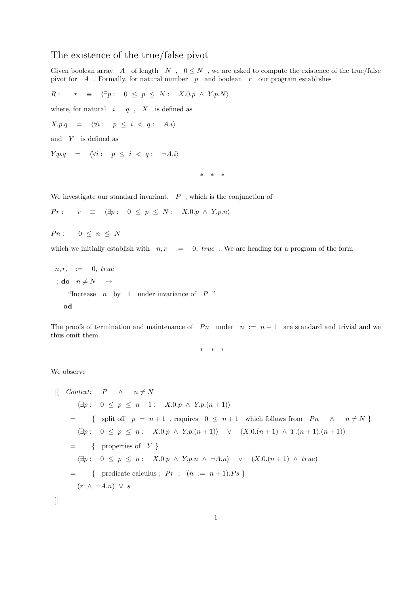## The existence of the true/false pivot

Given boolean array  $A$  of length  $N$ ,  $0 \leq N$ , we are asked to compute the existence of the true/false pivot for  $A$ . Formally, for natural number  $p$  and boolean r our program establishes

$$
R: r \equiv \langle \exists p: 0 \le p \le N: X.0. p \land Y.p. N \rangle
$$
  
where, for natural  $i \ne q$ , X is defined as  

$$
X.p.q = \langle \forall i: p \le i < q: A.i \rangle
$$
  
and Y is defined as  

$$
Y.p.q = \langle \forall i: p \le i < q: \neg A.i \rangle
$$
  

$$
* * *
$$

We investigate our standard invariant,  $P$ , which is the conjunction of

 $Pr: r \equiv \langle \exists p : 0 \leq p \leq N : X.0. p \land Y. p.n \rangle$ 

 $P n : 0 \leq n \leq N$ 

which we initially establish with  $n, r \ := 0$ , true. We are heading for a program of the form

 $n, r, := 0, true$ ; do  $n \neq N \rightarrow$ "Increase  $n$  by 1 under invariance of  $P$ " od

The proofs of termination and maintenance of  $P_n$  under  $n := n + 1$  are standard and trivial and we thus omit them.

\* \* \*

We observe

$$
\begin{array}{ll}\n\text{[} \quad \text{Context:} & P \quad \land \quad n \neq N \\
\text{[} \exists p: \quad 0 \leq p \leq n+1: \quad X.0.p \land Y.p.(n+1) \text{] } \\
&= \{ \quad \text{split off} \quad p = n+1 \quad, \text{ requires} \quad 0 \leq n+1 \quad \text{which follows from} \quad Pn \quad \land \quad n \neq N \text{ } \} \\
\text{[} \exists p: \quad 0 \leq p \leq n: \quad X.0.p \land Y.p.(n+1) \text{]} \quad \lor \quad (X.0.(n+1) \land Y.(n+1).(n+1)) \\
&= \{ \quad \text{properties of} \quad Y \text{ } \} \\
\text{[} \exists p: \quad 0 \leq p \leq n: \quad X.0.p \land Y.p.n \land \neg A.n \} \quad \lor \quad (X.0.(n+1) \land true) \\
&= \{ \quad \text{predicate calculus:} \quad Pr \quad ; \quad (n := n+1).Ps \} \\
\text{[} \quad (r \land \neg A.n) \lor s\n\end{array}
$$

]|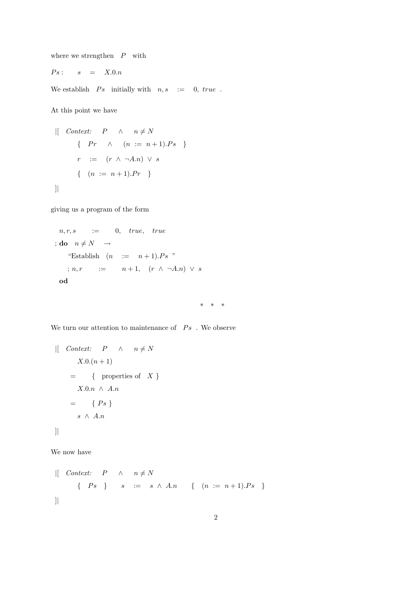where we strengthen  $P$  with

$$
Ps: \qquad s \quad = \quad X.0.n
$$

We establish  $Ps$  initially with  $n, s := 0$ , true.

At this point we have

$$
\begin{array}{rcl}\n\text{[} & \text{Context:} & P & \wedge & n \neq N \\
\text{ } & \{ \quad Pr \quad \wedge & (n := n + 1).Ps \quad \} \\
\text{ } & r & := & (r \wedge \neg A.n) \vee s \\
\text{ } & \{ \quad (n := n + 1).Pr \quad \} \\
\text{]}\n\end{array}
$$

giving us a program of the form

$$
n, r, s := 0, \quad true, \quad true
$$
\n
$$
; do \quad n \neq N \rightarrow
$$
\n" Establish  $(n := n+1).Ps"$ \n
$$
; n, r := n+1, \quad (r \land \neg A.n) \lor s
$$
\n
$$
od
$$

\* \* \*

We turn our attention to maintenance of  $\;\;Ps\;$  . We observe

```
| Context: P \wedge n \neq NX.0.(n + 1)= { properties of X }
      X.0.n \wedge A.n= \{ Ps \}s \wedge A.n
]|
```
We now have

 $|$ [ *Context:*  $P \wedge n \neq N$  $\{ \begin{array}{rcl} P s \end{array} \} \qquad s \quad := \quad s \ \wedge \ A.n \qquad \{ \quad (n \ := \ n+1).Ps \quad \}$ ]|